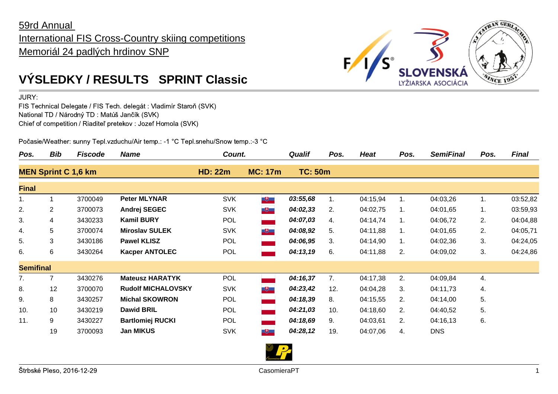## 59rd Annual International FIS Cross-Country skiing competitions Memoriál 24 padlých hrdinov SNP



JURY:

FIS Technical Delegate / FIS Tech. delegát : Vladimír Staroň (SVK) National TD / Národný TD : Matúš Jančík (SVK) Chief of competition / Riaditeľ pretekov : Jozef Homola (SVK)

Počasie/Weather: sunny Tepl.vzduchu/Air temp.: -1 °C Tepl.snehu/Snow temp.:-3 °C

| Pos.                       | <b>Bib</b>            | <b>Fiscode</b> | <b>Name</b>               | Count.         |                                                               | <b>Qualif</b>  | Pos. | <b>Heat</b> | Pos.           | <b>SemiFinal</b> | Pos. | <b>Final</b> |
|----------------------------|-----------------------|----------------|---------------------------|----------------|---------------------------------------------------------------|----------------|------|-------------|----------------|------------------|------|--------------|
| <b>MEN Sprint C 1,6 km</b> |                       |                | <b>HD: 22m</b>            | <b>MC: 17m</b> |                                                               | <b>TC: 50m</b> |      |             |                |                  |      |              |
| <b>Final</b>               |                       |                |                           |                |                                                               |                |      |             |                |                  |      |              |
| 1.                         |                       | 3700049        | <b>Peter MLYNAR</b>       | <b>SVK</b>     | $+$                                                           | 03:55,68       | 1.   | 04:15,94    | 1.             | 04:03,26         | 1.   | 03:52,82     |
| 2.                         | $\mathbf{2}^{\prime}$ | 3700073        | <b>Andrej SEGEC</b>       | <b>SVK</b>     | $\begin{array}{c} \hline \textbf{H} & \textbf{H} \end{array}$ | 04:02,33       | 2.   | 04:02,75    | 1.             | 04:01,65         | 1.   | 03:59,93     |
| 3.                         | 4                     | 3430233        | <b>Kamil BURY</b>         | POL            |                                                               | 04:07,03       | 4.   | 04:14,74    | 1.             | 04:06,72         | 2.   | 04:04,88     |
| 4.                         | 5                     | 3700074        | <b>Miroslav SULEK</b>     | <b>SVK</b>     | $+$                                                           | 04:08,92       | 5.   | 04:11,88    | 1.             | 04:01,65         | 2.   | 04:05,71     |
| 5.                         | 3                     | 3430186        | <b>Pawel KLISZ</b>        | <b>POL</b>     |                                                               | 04:06,95       | 3.   | 04:14,90    | 1 <sub>1</sub> | 04:02,36         | 3.   | 04:24,05     |
| 6.                         | 6                     | 3430264        | <b>Kacper ANTOLEC</b>     | <b>POL</b>     |                                                               | 04:13,19       | 6.   | 04:11,88    | 2.             | 04:09,02         | 3.   | 04:24,86     |
| <b>Semifinal</b>           |                       |                |                           |                |                                                               |                |      |             |                |                  |      |              |
| 7.                         | 7                     | 3430276        | <b>Mateusz HARATYK</b>    | <b>POL</b>     |                                                               | 04:16,37       | 7.   | 04:17,38    | 2.             | 04:09,84         | 4.   |              |
| 8.                         | 12                    | 3700070        | <b>Rudolf MICHALOVSKY</b> | <b>SVK</b>     | $\begin{array}{c} \hline \textbf{H} & \textbf{H} \end{array}$ | 04:23,42       | 12.  | 04:04,28    | 3.             | 04:11,73         | 4.   |              |
| 9.                         | 8                     | 3430257        | <b>Michal SKOWRON</b>     | <b>POL</b>     |                                                               | 04:18,39       | 8.   | 04:15,55    | 2.             | 04:14,00         | 5.   |              |
| 10.                        | 10                    | 3430219        | <b>Dawid BRIL</b>         | <b>POL</b>     |                                                               | 04:21,03       | 10.  | 04:18,60    | 2.             | 04:40,52         | 5.   |              |
| 11.                        | 9                     | 3430227        | <b>Bartlomiej RUCKI</b>   | <b>POL</b>     |                                                               | 04:18,69       | 9.   | 04:03,61    | 2.             | 04:16,13         | 6.   |              |
|                            | 19                    | 3700093        | <b>Jan MIKUS</b>          | <b>SVK</b>     | $\overline{\mathbf{e}}$                                       | 04:28,12       | 19.  | 04:07,06    | 4.             | <b>DNS</b>       |      |              |



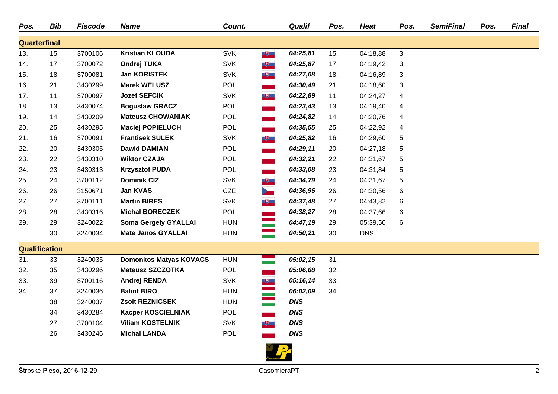| Pos.                 | <b>Bib</b> | <b>Fiscode</b> | <b>Name</b>                   | Count.     |                                                               | <b>Qualif</b> | Pos. | <b>Heat</b> | Pos. | <b>SemiFinal</b> | Pos. | <b>Final</b> |
|----------------------|------------|----------------|-------------------------------|------------|---------------------------------------------------------------|---------------|------|-------------|------|------------------|------|--------------|
| <b>Quarterfinal</b>  |            |                |                               |            |                                                               |               |      |             |      |                  |      |              |
| 13.                  | 15         | 3700106        | <b>Kristian KLOUDA</b>        | <b>SVK</b> | $\begin{array}{c} \hline \textbf{H} & \textbf{H} \end{array}$ | 04:25,81      | 15.  | 04:18,88    | 3.   |                  |      |              |
| 14.                  | 17         | 3700072        | <b>Ondrej TUKA</b>            | <b>SVK</b> | $\blacksquare$                                                | 04:25,87      | 17.  | 04:19,42    | 3.   |                  |      |              |
| 15.                  | 18         | 3700081        | <b>Jan KORISTEK</b>           | <b>SVK</b> | $+$                                                           | 04:27,08      | 18.  | 04:16,89    | 3.   |                  |      |              |
| 16.                  | 21         | 3430299        | <b>Marek WELUSZ</b>           | <b>POL</b> |                                                               | 04:30,49      | 21.  | 04:18,60    | 3.   |                  |      |              |
| 17.                  | 11         | 3700097        | <b>Jozef SEFCIK</b>           | <b>SVK</b> | $\overline{\mathbf{e}}$                                       | 04:22,89      | 11.  | 04:24,27    | 4.   |                  |      |              |
| 18.                  | 13         | 3430074        | <b>Boguslaw GRACZ</b>         | <b>POL</b> |                                                               | 04:23,43      | 13.  | 04:19,40    | 4.   |                  |      |              |
| 19.                  | 14         | 3430209        | <b>Mateusz CHOWANIAK</b>      | POL        |                                                               | 04:24,82      | 14.  | 04:20,76    | 4.   |                  |      |              |
| 20.                  | 25         | 3430295        | <b>Maciej POPIELUCH</b>       | <b>POL</b> |                                                               | 04:35,55      | 25.  | 04:22,92    | 4.   |                  |      |              |
| 21.                  | 16         | 3700091        | <b>Frantisek SULEK</b>        | <b>SVK</b> | $\overline{\phantom{a}}$                                      | 04:25,82      | 16.  | 04:29,60    | 5.   |                  |      |              |
| 22.                  | 20         | 3430305        | <b>Dawid DAMIAN</b>           | <b>POL</b> |                                                               | 04:29,11      | 20.  | 04:27,18    | 5.   |                  |      |              |
| 23.                  | 22         | 3430310        | <b>Wiktor CZAJA</b>           | <b>POL</b> |                                                               | 04:32,21      | 22.  | 04:31,67    | 5.   |                  |      |              |
| 24.                  | 23         | 3430313        | <b>Krzysztof PUDA</b>         | <b>POL</b> |                                                               | 04:33,08      | 23.  | 04:31,84    | 5.   |                  |      |              |
| 25.                  | 24         | 3700112        | <b>Dominik CIZ</b>            | <b>SVK</b> | $\overline{\mathbf{r}}$                                       | 04:34,79      | 24.  | 04:31,67    | 5.   |                  |      |              |
| 26.                  | 26         | 3150671        | Jan KVAS                      | <b>CZE</b> | <b>Septiment</b>                                              | 04:36,96      | 26.  | 04:30,56    | 6.   |                  |      |              |
| 27.                  | 27         | 3700111        | <b>Martin BIRES</b>           | <b>SVK</b> | $\overline{\mathbf{e}}$                                       | 04:37,48      | 27.  | 04:43,82    | 6.   |                  |      |              |
| 28.                  | 28         | 3430316        | <b>Michal BORECZEK</b>        | <b>POL</b> |                                                               | 04:38,27      | 28.  | 04:37,66    | 6.   |                  |      |              |
| 29.                  | 29         | 3240022        | <b>Soma Gergely GYALLAI</b>   | <b>HUN</b> |                                                               | 04:47,19      | 29.  | 05:39,50    | 6.   |                  |      |              |
|                      | 30         | 3240034        | <b>Mate Janos GYALLAI</b>     | <b>HUN</b> | an an India.<br>Tagairtí                                      | 04:50,21      | 30.  | <b>DNS</b>  |      |                  |      |              |
| <b>Qualification</b> |            |                |                               |            |                                                               |               |      |             |      |                  |      |              |
| 31.                  | 33         | 3240035        | <b>Domonkos Matyas KOVACS</b> | <b>HUN</b> |                                                               | 05:02,15      | 31.  |             |      |                  |      |              |
| 32.                  | 35         | 3430296        | <b>Mateusz SZCZOTKA</b>       | <b>POL</b> |                                                               | 05:06,68      | 32.  |             |      |                  |      |              |
| 33.                  | 39         | 3700116        | Andrej RENDA                  | <b>SVK</b> | $\overline{\mathbf{r}}$                                       | 05:16,14      | 33.  |             |      |                  |      |              |
| 34.                  | 37         | 3240036        | <b>Balint BIRO</b>            | <b>HUN</b> |                                                               | 06:02,09      | 34.  |             |      |                  |      |              |
|                      | 38         | 3240037        | <b>Zsolt REZNICSEK</b>        | <b>HUN</b> | an an                                                         | <b>DNS</b>    |      |             |      |                  |      |              |
|                      | 34         | 3430284        | Kacper KOSCIELNIAK            | <b>POL</b> |                                                               | <b>DNS</b>    |      |             |      |                  |      |              |
|                      | 27         | 3700104        | <b>Viliam KOSTELNIK</b>       | <b>SVK</b> | $\overline{\mathbf{r}}$                                       | <b>DNS</b>    |      |             |      |                  |      |              |
|                      | 26         | 3430246        | <b>Michal LANDA</b>           | POL        |                                                               | <b>DNS</b>    |      |             |      |                  |      |              |
|                      |            |                |                               |            |                                                               |               |      |             |      |                  |      |              |